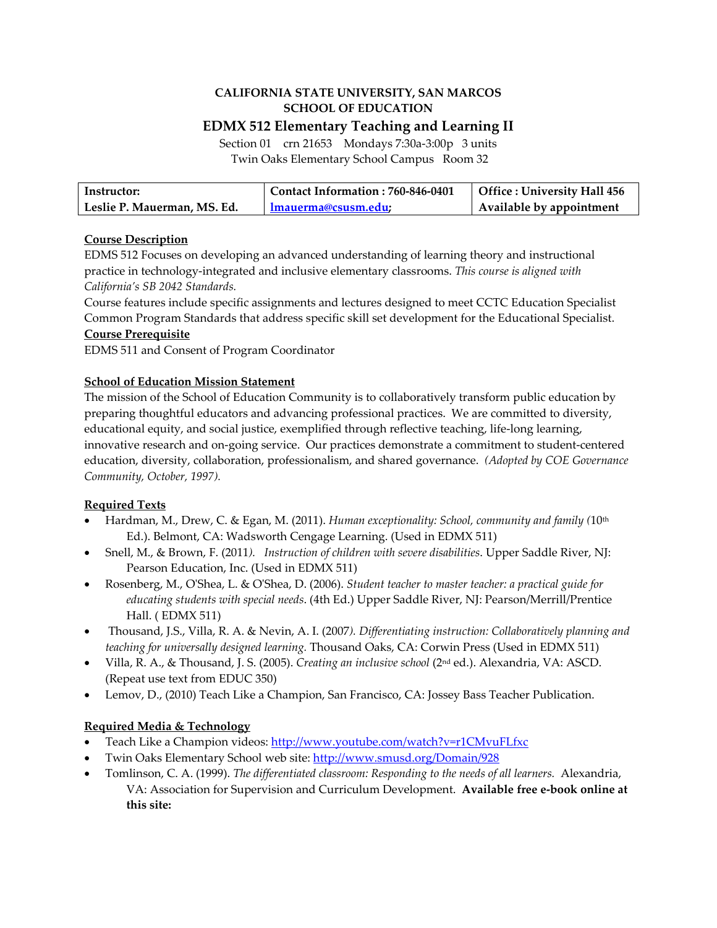# **CALIFORNIA STATE UNIVERSITY, SAN MARCOS SCHOOL OF EDUCATION**

 **EDMX 512 Elementary Teaching and Learning II** Section 01 crn 21653 Mondays 7:30a‐3:00p 3 units

Twin Oaks Elementary School Campus Room 32

| Instructor:                 | Contact Information: 760-846-0401 | Office : University Hall 456 |
|-----------------------------|-----------------------------------|------------------------------|
| Leslie P. Mauerman, MS. Ed. | lmauerma@csusm.edu:               | Available by appointment     |

## **Course Description**

 EDMS 512 Focuses on developing an advanced understanding of learning theory and instructional  practice in technology‐integrated and inclusive elementary classrooms. *This course is aligned with California's SB 2042 Standards.*

 Course features include specific assignments and lectures designed to meet CCTC Education Specialist Common Program Standards that address specific skill set development for the Educational Specialist.

## **Course Prerequisite**

EDMS 511 and Consent of Program Coordinator

## **School of Education Mission Statement**

 The mission of the School of Education Community is to collaboratively transform public education by preparing thoughtful educators and advancing professional practices. We are committed to diversity, educational equity, and social justice, exemplified through reflective teaching, life‐long learning, innovative research and on‐going service. Our practices demonstrate a commitment to student‐centered  education, diversity, collaboration, professionalism, and shared governance. *(Adopted by COE Governance Community, October, 1997).*

## **Required Texts**

- Hardman, M., Drew, C. & Egan, M. (2011). *Human exceptionality: School, community and family (*10th Ed.). Belmont, CA: Wadsworth Cengage Learning. (Used in EDMX 511)
- Snell, M., & Brown, F. (2011*). Instruction of children with severe disabilities*. Upper Saddle River, NJ: Pearson Education, Inc. (Used in EDMX 511)
- Rosenberg, M., OʹShea, L. & OʹShea, D. (2006). *Student teacher to master teacher: a practical guide for educating students with special needs*. (4th Ed.) Upper Saddle River, NJ: Pearson/Merrill/Prentice Hall. ( EDMX 511)
- Thousand, J.S., Villa, R. A. & Nevin, A. I. (2007*). Differentiating instruction: Collaboratively planning and teaching for universally designed learning.* Thousand Oaks, CA: Corwin Press (Used in EDMX 511)
- Villa, R. A., & Thousand, J. S. (2005). *Creating an inclusive school* (2nd ed.). Alexandria, VA: ASCD. (Repeat use text from EDUC 350)
- Lemov, D., (2010) Teach Like a Champion, San Francisco, CA: Jossey Bass Teacher Publication.

## **Required Media & Technology**

- Teach Like a Champion videos: http://www.youtube.com/watch?v=r1CMvuFLfxc
- Twin Oaks Elementary School web site: http://www.smusd.org/Domain/928
- Tomlinson, C. A. (1999). *The differentiated classroom: Responding to the needs of all learners.* Alexandria,  VA: Association for Supervision and Curriculum Development. **Available free e‐book online at this site:**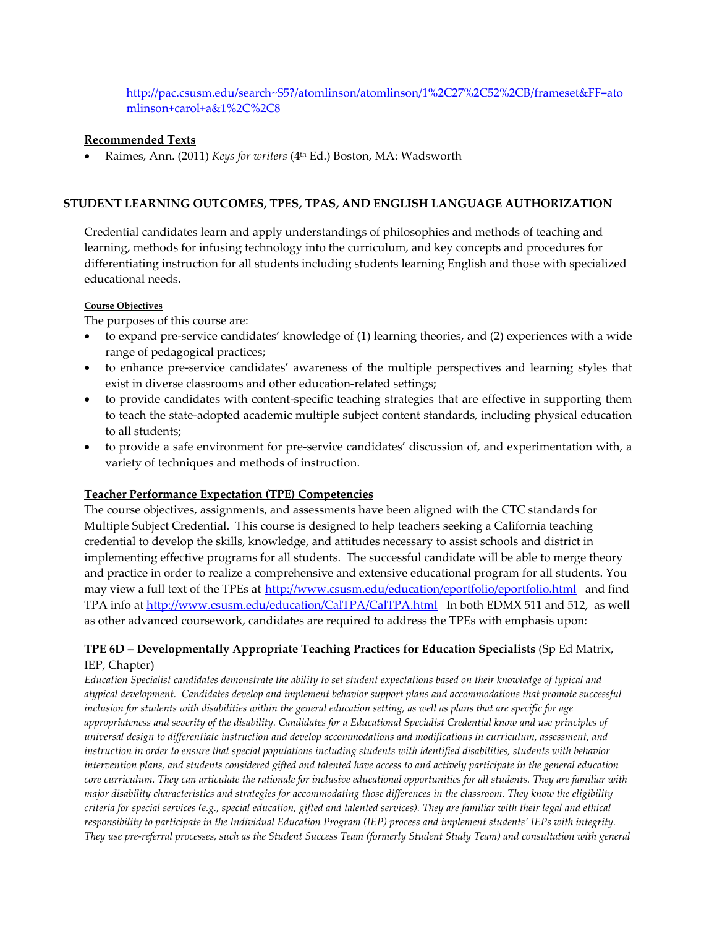## mlinson+carol+a&1%2C%2C8 http://pac.csusm.edu/search~S5?/atomlinson/atomlinson/1%2C27%2C52%2CB/frameset&FF=ato

#### **Recommended Texts**

 Raimes, Ann. (2011) *Keys for writers* (4th Ed.) Boston, MA: Wadsworth

#### **STUDENT LEARNING OUTCOMES, TPES, TPAS, AND ENGLISH LANGUAGE AUTHORIZATION**

 Credential candidates learn and apply understandings of philosophies and methods of teaching and learning, methods for infusing technology into the curriculum, and key concepts and procedures for differentiating instruction for all students including students learning English and those with specialized educational needs.

#### **Course Objectives**

The purposes of this course are:

- to expand pre‐service candidates' knowledge of (1) learning theories, and (2) experiences with a wide range of pedagogical practices;
- to enhance pre-service candidates' awareness of the multiple perspectives and learning styles that exist in diverse classrooms and other education‐related settings;
- to provide candidates with content‐specific teaching strategies that are effective in supporting them to teach the state‐adopted academic multiple subject content standards, including physical education to all students;
- to provide a safe environment for pre‐service candidates' discussion of, and experimentation with, a variety of techniques and methods of instruction.

#### **Teacher Performance Expectation (TPE) Competencies**

 The course objectives, assignments, and assessments have been aligned with the CTC standards for Multiple Subject Credential. This course is designed to help teachers seeking a California teaching credential to develop the skills, knowledge, and attitudes necessary to assist schools and district in implementing effective programs for all students. The successful candidate will be able to merge theory and practice in order to realize a comprehensive and extensive educational program for all students. You may view a full text of the TPEs at <u>http://www.csusm.edu/education/eportfolio/eportfolio.html</u> and find TPA info at <u>http://www.csusm.edu/education/CalTPA/CalTPA.html</u> In both EDMX 511 and 512, as well as other advanced coursework, candidates are required to address the TPEs with emphasis upon:

### **TPE 6D – Developmentally Appropriate Teaching Practices for Education Specialists** (Sp Ed Matrix, IEP, Chapter)

Education Specialist candidates demonstrate the ability to set student expectations based on their knowledge of typical and atypical development. Candidates develop and implement behavior support plans and accommodations that promote successful inclusion for students with disabilities within the general education setting, as well as plans that are specific for age appropriateness and severity of the disability. Candidates for a Educational Specialist Credential know and use principles of universal design to differentiate instruction and develop accommodations and modifications in curriculum, assessment, and instruction in order to ensure that special populations including students with identified disabilities, students with behavior intervention plans, and students considered gifted and talented have access to and actively participate in the general education core curriculum. They can articulate the rationale for inclusive educational opportunities for all students. They are familiar with major disability characteristics and strategies for accommodating those differences in the classroom. They know the eligibility criteria for special services (e.g., special education, gifted and talented services). They are familiar with their legal and ethical responsibility to participate in the Individual Education Program (IEP) process and implement students′ IEPs with integrity. They use pre-referral processes, such as the Student Success Team (formerly Student Study Team) and consultation with general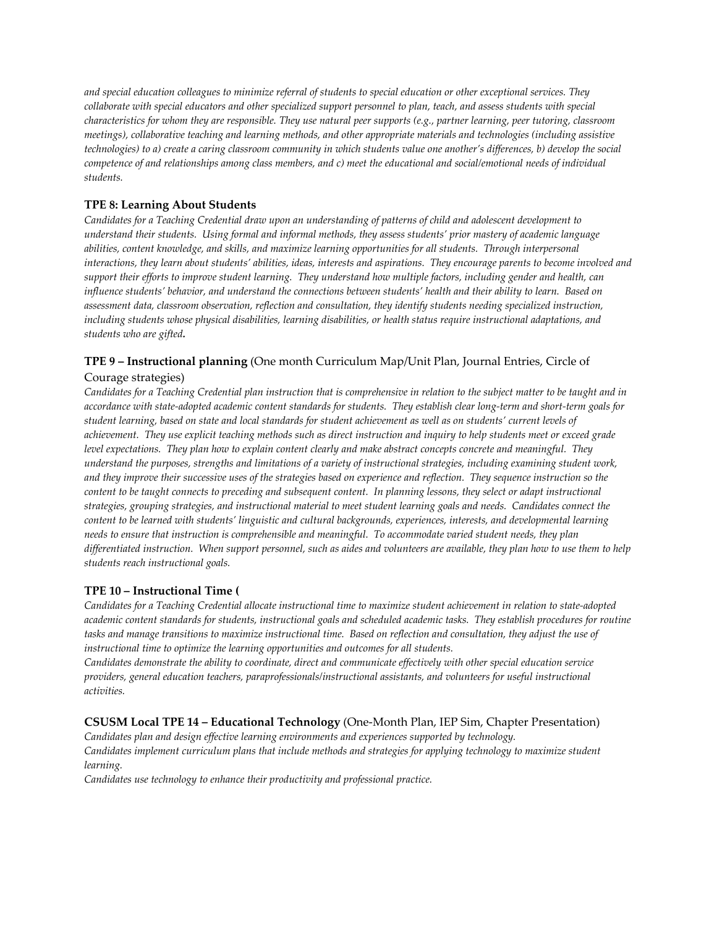and special education colleagues to minimize referral of students to special education or other exceptional services. They collaborate with special educators and other specialized support personnel to plan, teach, and assess students with special characteristics for whom they are responsible. They use natural peer supports (e.g., partner learning, peer tutoring, classroom meetings), collaborative teaching and learning methods, and other appropriate materials and technologies (including assistive technologies) to a) create a caring classroom community in which students value one another's differences, b) develop the social competence of and relationships among class members, and c) meet the educational and social/emotional needs of individual *students.*

#### **TPE 8: Learning About Students**

Candidates for a Teaching Credential draw upon an understanding of patterns of child and adolescent development to understand their students. Using formal and informal methods, they assess students' prior mastery of academic language abilities, content knowledge, and skills, and maximize learning opportunities for all students. Through interpersonal interactions, they learn about students' abilities, ideas, interests and aspirations. They encourage parents to become involved and support their efforts to improve student learning. They understand how multiple factors, including gender and health, can influence students' behavior, and understand the connections between students' health and their ability to learn. Based on assessment data, classroom observation, reflection and consultation, they identify students needing specialized instruction, including students whose physical disabilities, learning disabilities, or health status require instructional adaptations, and  *students who are gifted.*

### **TPE 9 – Instructional planning** (One month Curriculum Map/Unit Plan, Journal Entries, Circle of

#### Courage strategies)

Candidates for a Teaching Credential plan instruction that is comprehensive in relation to the subject matter to be taught and in accordance with state-adopted academic content standards for students. They establish clear long-term and short-term goals for student learning, based on state and local standards for student achievement as well as on students' current levels of achievement. They use explicit teaching methods such as direct instruction and inquiry to help students meet or exceed grade level expectations. They plan how to explain content clearly and make abstract concepts concrete and meaningful. They understand the purposes, strengths and limitations of a variety of instructional strategies, including examining student work, and they improve their successive uses of the strategies based on experience and reflection. They sequence instruction so the content to be taught connects to preceding and subsequent content. In planning lessons, they select or adapt instructional strategies, grouping strategies, and instructional material to meet student learning goals and needs. Candidates connect the content to be learned with students' linguistic and cultural backgrounds, experiences, interests, and developmental learning needs to ensure that instruction is comprehensible and meaningful. To accommodate varied student needs, they plan differentiated instruction. When support personnel, such as aides and volunteers are available, they plan how to use them to help  *students reach instructional goals.*

#### **TPE 10 – Instructional Time (**

Candidates for a Teaching Credential allocate instructional time to maximize student achievement in relation to state-adopted academic content standards for students, instructional goals and scheduled academic tasks. They establish procedures for routine tasks and manage transitions to maximize instructional time. Based on reflection and consultation, they adjust the use of  *instructional time to optimize the learning opportunities and outcomes for all students.*

Candidates demonstrate the ability to coordinate, direct and communicate effectively with other special education service providers, general education teachers, paraprofessionals/instructional assistants, and volunteers for useful instructional *activities.*

### **CSUSM Local TPE 14 – Educational Technology** (One‐Month Plan, IEP Sim, Chapter Presentation)

Candidates plan and design effective learning environments and experiences supported by technology. Candidates implement curriculum plans that include methods and strategies for applying technology to maximize student *learning.*

 *Candidates use technology to enhance their productivity and professional practice.*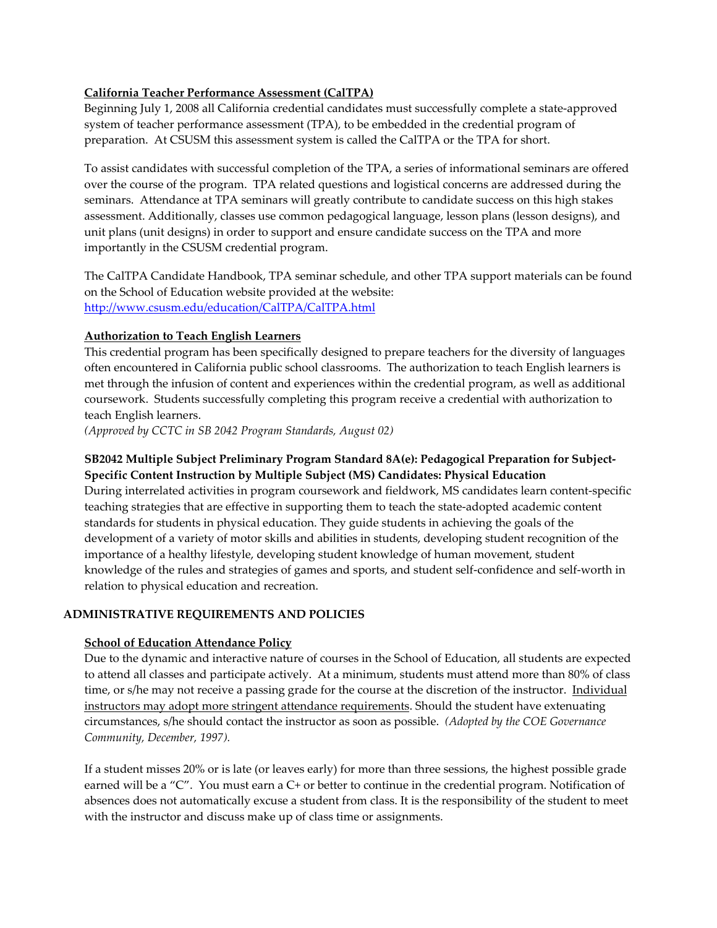## **California Teacher Performance Assessment (CalTPA)**

 Beginning July 1, 2008 all California credential candidates must successfully complete a state‐approved system of teacher performance assessment (TPA), to be embedded in the credential program of preparation. At CSUSM this assessment system is called the CalTPA or the TPA for short.

 To assist candidates with successful completion of the TPA, a series of informational seminars are offered over the course of the program. TPA related questions and logistical concerns are addressed during the seminars. Attendance at TPA seminars will greatly contribute to candidate success on this high stakes assessment. Additionally, classes use common pedagogical language, lesson plans (lesson designs), and unit plans (unit designs) in order to support and ensure candidate success on the TPA and more importantly in the CSUSM credential program.

 The CalTPA Candidate Handbook, TPA seminar schedule, and other TPA support materials can be found on the School of Education website provided at the website: http://www.csusm.edu/education/CalTPA/CalTPA.html

### **Authorization to Teach English Learners**

 This credential program has been specifically designed to prepare teachers for the diversity of languages often encountered in California public school classrooms. The authorization to teach English learners is met through the infusion of content and experiences within the credential program, as well as additional coursework. Students successfully completing this program receive a credential with authorization to teach English learners.

 *(Approved by CCTC in SB 2042 Program Standards, August 02)*

## **SB2042 Multiple Subject Preliminary Program Standard 8A(e): Pedagogical Preparation for Subject‐ Specific Content Instruction by Multiple Subject (MS) Candidates: Physical Education**

 During interrelated activities in program coursework and fieldwork, MS candidates learn content‐specific teaching strategies that are effective in supporting them to teach the state‐adopted academic content standards for students in physical education. They guide students in achieving the goals of the development of a variety of motor skills and abilities in students, developing student recognition of the importance of a healthy lifestyle, developing student knowledge of human movement, student knowledge of the rules and strategies of games and sports, and student self‐confidence and self‐worth in relation to physical education and recreation.

## **ADMINISTRATIVE REQUIREMENTS AND POLICIES**

## **School of Education Attendance Policy**

 Due to the dynamic and interactive nature of courses in the School of Education, all students are expected to attend all classes and participate actively. At a minimum, students must attend more than 80% of class time, or s/he may not receive a passing grade for the course at the discretion of the instructor. Individual instructors may adopt more stringent attendance requirements. Should the student have extenuating  circumstances, s/he should contact the instructor as soon as possible. *(Adopted by the COE Governance Community, December, 1997).*

 If a student misses 20% or is late (or leaves early) for more than three sessions, the highest possible grade earned will be a "C". You must earn a C+ or better to continue in the credential program. Notification of absences does not automatically excuse a student from class. It is the responsibility of the student to meet with the instructor and discuss make up of class time or assignments.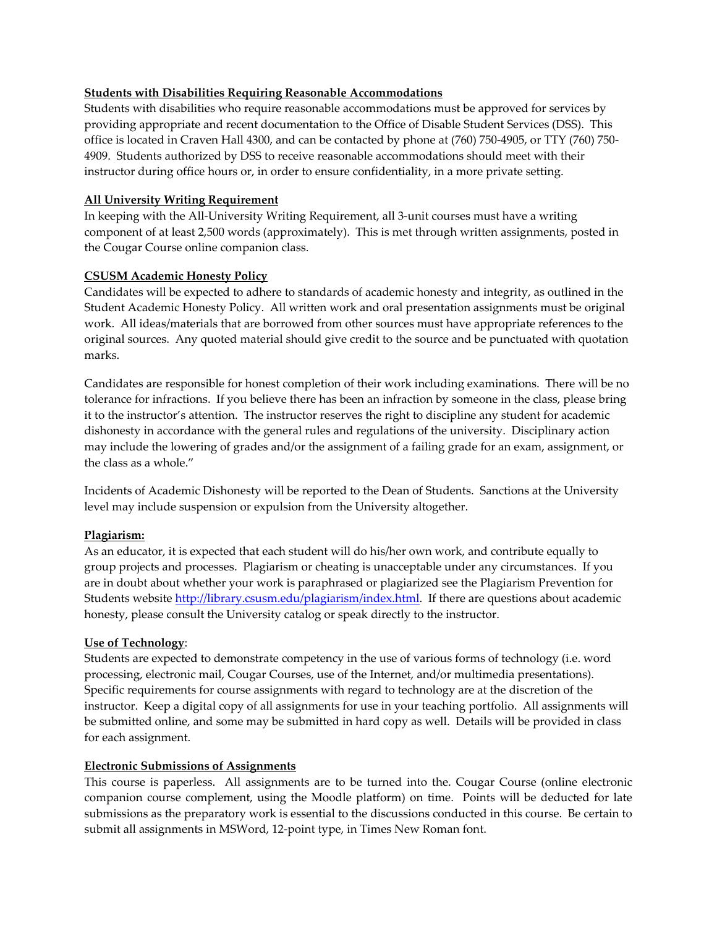### **Students with Disabilities Requiring Reasonable Accommodations**

 Students with disabilities who require reasonable accommodations must be approved for services by providing appropriate and recent documentation to the Office of Disable Student Services (DSS). This office is located in Craven Hall 4300, and can be contacted by phone at (760) 750‐4905, or TTY (760) 750‐ 4909. Students authorized by DSS to receive reasonable accommodations should meet with their instructor during office hours or, in order to ensure confidentiality, in a more private setting.

#### **All University Writing Requirement**

 In keeping with the All‐University Writing Requirement, all 3‐unit courses must have a writing component of at least 2,500 words (approximately). This is met through written assignments, posted in the Cougar Course online companion class.

#### **CSUSM Academic Honesty Policy**

 Candidates will be expected to adhere to standards of academic honesty and integrity, as outlined in the Student Academic Honesty Policy. All written work and oral presentation assignments must be original work. All ideas/materials that are borrowed from other sources must have appropriate references to the original sources. Any quoted material should give credit to the source and be punctuated with quotation marks.

 Candidates are responsible for honest completion of their work including examinations. There will be no tolerance for infractions. If you believe there has been an infraction by someone in the class, please bring it to the instructor's attention. The instructor reserves the right to discipline any student for academic dishonesty in accordance with the general rules and regulations of the university. Disciplinary action may include the lowering of grades and/or the assignment of a failing grade for an exam, assignment, or the class as a whole."

 Incidents of Academic Dishonesty will be reported to the Dean of Students. Sanctions at the University level may include suspension or expulsion from the University altogether.

### **Plagiarism:**

 As an educator, it is expected that each student will do his/her own work, and contribute equally to group projects and processes. Plagiarism or cheating is unacceptable under any circumstances. If you are in doubt about whether your work is paraphrased or plagiarized see the Plagiarism Prevention for Students website <u>http://library.csusm.edu/plagiarism/index.html</u>. If there are questions about academic honesty, please consult the University catalog or speak directly to the instructor.

#### **Use of Technology**:

 Students are expected to demonstrate competency in the use of various forms of technology (i.e. word processing, electronic mail, Cougar Courses, use of the Internet, and/or multimedia presentations). Specific requirements for course assignments with regard to technology are at the discretion of the instructor. Keep a digital copy of all assignments for use in your teaching portfolio. All assignments will be submitted online, and some may be submitted in hard copy as well. Details will be provided in class for each assignment.

#### **Electronic Submissions of Assignments**

 This course is paperless. All assignments are to be turned into the. Cougar Course (online electronic companion course complement, using the Moodle platform) on time. Points will be deducted for late submissions as the preparatory work is essential to the discussions conducted in this course. Be certain to submit all assignments in MSWord, 12‐point type, in Times New Roman font.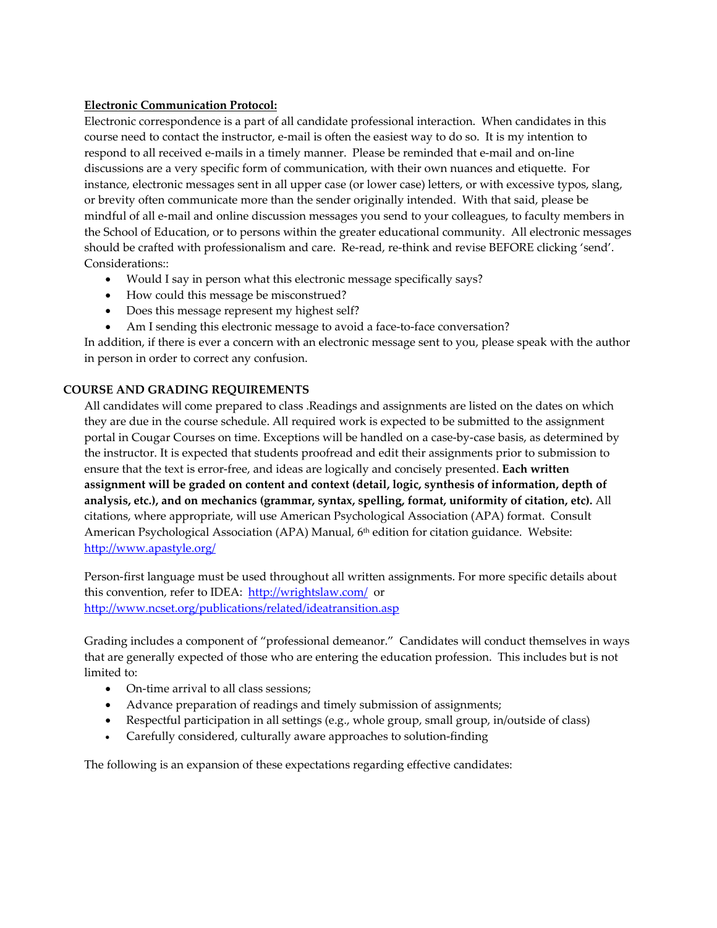### **Electronic Communication Protocol:**

 Electronic correspondence is a part of all candidate professional interaction. When candidates in this course need to contact the instructor, e‐mail is often the easiest way to do so. It is my intention to respond to all received e‐mails in a timely manner. Please be reminded that e‐mail and on‐line discussions are a very specific form of communication, with their own nuances and etiquette. For instance, electronic messages sent in all upper case (or lower case) letters, or with excessive typos, slang, or brevity often communicate more than the sender originally intended. With that said, please be mindful of all e‐mail and online discussion messages you send to your colleagues, to faculty members in the School of Education, or to persons within the greater educational community. All electronic messages should be crafted with professionalism and care. Re‐read, re‐think and revise BEFORE clicking 'send'. Considerations::

- Would I say in person what this electronic message specifically says?
- How could this message be misconstrued?
- Does this message represent my highest self?
- Am I sending this electronic message to avoid a face-to-face conversation?

 In addition, if there is ever a concern with an electronic message sent to you, please speak with the author in person in order to correct any confusion.

## **COURSE AND GRADING REQUIREMENTS**

 All candidates will come prepared to class .Readings and assignments are listed on the dates on which they are due in the course schedule. All required work is expected to be submitted to the assignment portal in Cougar Courses on time. Exceptions will be handled on a case‐by‐case basis, as determined by the instructor. It is expected that students proofread and edit their assignments prior to submission to  ensure that the text is error‐free, and ideas are logically and concisely presented. **Each written** assignment will be graded on content and context (detail, logic, synthesis of information, depth of analysis, etc.), and on mechanics (grammar, syntax, spelling, format, uniformity of citation, etc). All citations, where appropriate, will use American Psychological Association (APA) format. Consult American Psychological Association (APA) Manual, 6<sup>th</sup> edition for citation guidance. Website: http://www.apastyle.org/

 Person‐first language must be used throughout all written assignments. For more specific details about this convention, refer to IDEA: <u>http://wrightslaw.com/</u> or http://www.ncset.org/publications/related/ideatransition.asp

 Grading includes a component of "professional demeanor." Candidates will conduct themselves in ways that are generally expected of those who are entering the education profession. This includes but is not limited to:

- On-time arrival to all class sessions;
- Advance preparation of readings and timely submission of assignments;
- Respectful participation in all settings (e.g., whole group, small group, in/outside of class)
- Carefully considered, culturally aware approaches to solution‐finding

The following is an expansion of these expectations regarding effective candidates: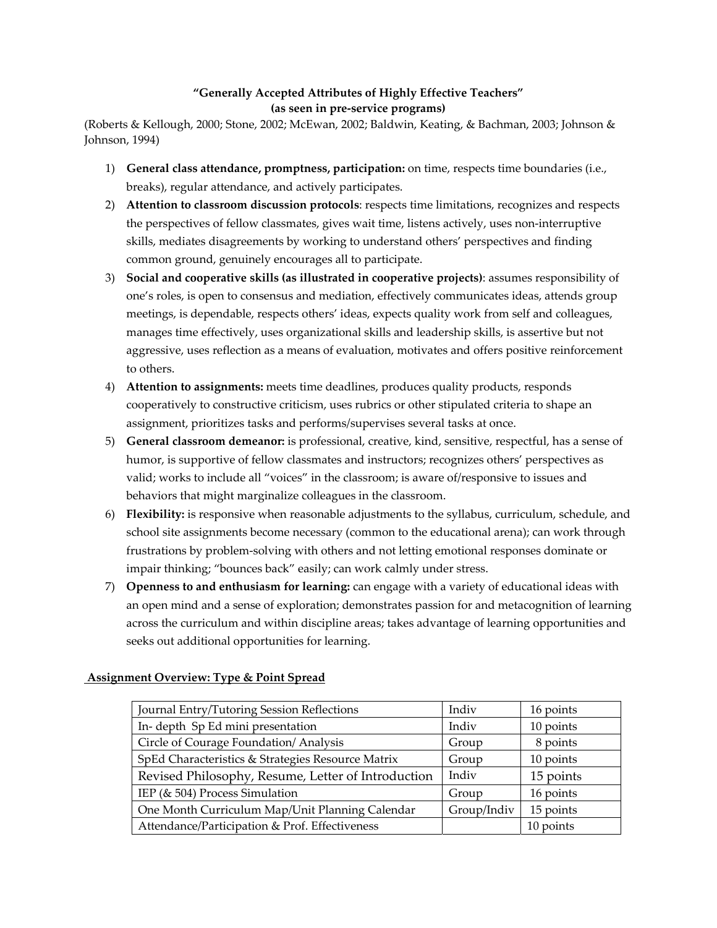## **"Generally Accepted Attributes of Highly Effective Teachers" (as seen in pre‐service programs)**

 (Roberts & Kellough, 2000; Stone, 2002; McEwan, 2002; Baldwin, Keating, & Bachman, 2003; Johnson & Johnson, 1994)

- 1) **General class attendance, promptness, participation:** on time, respects time boundaries (i.e., breaks), regular attendance, and actively participates.
- 2) **Attention to classroom discussion protocols**: respects time limitations, recognizes and respects the perspectives of fellow classmates, gives wait time, listens actively, uses non-interruptive skills, mediates disagreements by working to understand others' perspectives and finding common ground, genuinely encourages all to participate.
- 3) **Social and cooperative skills (as illustrated in cooperative projects)**: assumes responsibility of one's roles, is open to consensus and mediation, effectively communicates ideas, attends group meetings, is dependable, respects others' ideas, expects quality work from self and colleagues, manages time effectively, uses organizational skills and leadership skills, is assertive but not aggressive, uses reflection as a means of evaluation, motivates and offers positive reinforcement to others.
- 4) **Attention to assignments:** meets time deadlines, produces quality products, responds cooperatively to constructive criticism, uses rubrics or other stipulated criteria to shape an assignment, prioritizes tasks and performs/supervises several tasks at once.
- 5) **General classroom demeanor:** is professional, creative, kind, sensitive, respectful, has a sense of humor, is supportive of fellow classmates and instructors; recognizes others' perspectives as valid; works to include all "voices" in the classroom; is aware of/responsive to issues and behaviors that might marginalize colleagues in the classroom.
- 6) Flexibility: is responsive when reasonable adjustments to the syllabus, curriculum, schedule, and school site assignments become necessary (common to the educational arena); can work through frustrations by problem‐solving with others and not letting emotional responses dominate or impair thinking; "bounces back" easily; can work calmly under stress.
- 7) **Openness to and enthusiasm for learning:** can engage with a variety of educational ideas with an open mind and a sense of exploration; demonstrates passion for and metacognition of learning across the curriculum and within discipline areas; takes advantage of learning opportunities and seeks out additional opportunities for learning.

| Journal Entry/Tutoring Session Reflections         | Indiv       | 16 points |
|----------------------------------------------------|-------------|-----------|
| In-depth Sp Ed mini presentation                   | Indiv       | 10 points |
| Circle of Courage Foundation/ Analysis             | Group       | 8 points  |
| SpEd Characteristics & Strategies Resource Matrix  | Group       | 10 points |
| Revised Philosophy, Resume, Letter of Introduction | Indiv       | 15 points |
| IEP (& 504) Process Simulation                     | Group       | 16 points |
| One Month Curriculum Map/Unit Planning Calendar    | Group/Indiv | 15 points |
| Attendance/Participation & Prof. Effectiveness     |             | 10 points |

## **Assignment Overview: Type & Point Spread**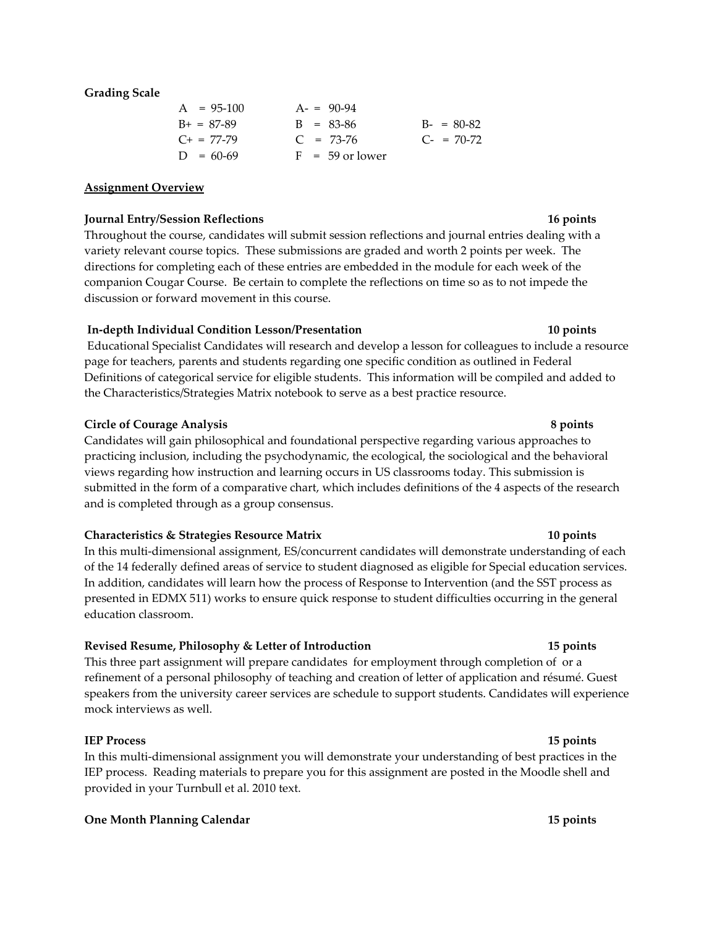#### **Grading Scale**

| $A = 95-100$    | $A = 90-94$       |               |
|-----------------|-------------------|---------------|
| $B+ = 87-89$    | $B = 83-86$       | $B - = 80-82$ |
| $C_{+}$ = 77-79 | $C = 73-76$       | $C = 70-72$   |
| $D = 60-69$     | $F = 59$ or lower |               |

#### **Assignment Overview**

#### **Journal Entry/Session Reflections 16 points**

 Throughout the course, candidates will submit session reflections and journal entries dealing with a variety relevant course topics. These submissions are graded and worth 2 points per week. The directions for completing each of these entries are embedded in the module for each week of the companion Cougar Course. Be certain to complete the reflections on time so as to not impede the discussion or forward movement in this course.

### **In‐depth Individual Condition Lesson/Presentation 10 points**

 Educational Specialist Candidates will research and develop a lesson for colleagues to include a resource page for teachers, parents and students regarding one specific condition as outlined in Federal Definitions of categorical service for eligible students. This information will be compiled and added to the Characteristics/Strategies Matrix notebook to serve as a best practice resource.

#### **Circle of Courage Analysis 8 points**

 Candidates will gain philosophical and foundational perspective regarding various approaches to practicing inclusion, including the psychodynamic, the ecological, the sociological and the behavioral views regarding how instruction and learning occurs in US classrooms today. This submission is submitted in the form of a comparative chart, which includes definitions of the 4 aspects of the research and is completed through as a group consensus.

#### **Characteristics & Strategies Resource Matrix 10 points**

 In this multi‐dimensional assignment, ES/concurrent candidates will demonstrate understanding of each of the 14 federally defined areas of service to student diagnosed as eligible for Special education services. In addition, candidates will learn how the process of Response to Intervention (and the SST process as presented in EDMX 511) works to ensure quick response to student difficulties occurring in the general education classroom.

## **Revised Resume, Philosophy & Letter of Introduction 15 points**

 This three part assignment will prepare candidates for employment through completion of or a refinement of a personal philosophy of teaching and creation of letter of application and résumé. Guest speakers from the university career services are schedule to support students. Candidates will experience mock interviews as well.

#### **IEP Process 15 points**

 In this multi‐dimensional assignment you will demonstrate your understanding of best practices in the IEP process. Reading materials to prepare you for this assignment are posted in the Moodle shell and provided in your Turnbull et al. 2010 text.

#### **One Month Planning Calendar 15 points**

## 16 points

##